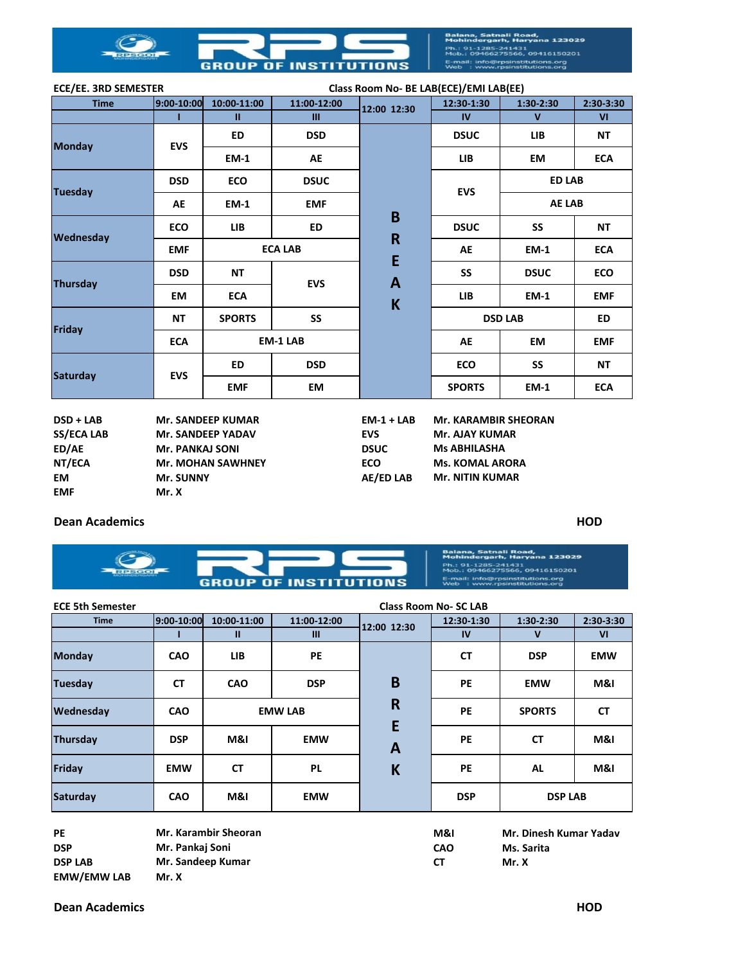

| <b>ECE/EE. 3RD SEMESTER</b> |                          |                          |                 | Class Room No- BE LAB(ECE)/EMI LAB(EE) |                             |               |                |
|-----------------------------|--------------------------|--------------------------|-----------------|----------------------------------------|-----------------------------|---------------|----------------|
| <b>Time</b>                 | 9:00-10:00               | 10:00-11:00              | 11:00-12:00     | 12:00 12:30                            | 12:30-1:30                  | $1:30-2:30$   | $2:30-3:30$    |
|                             | т                        | $\mathbf{u}$             | Ш               |                                        | IV                          | $\mathbf{V}$  | V <sub>1</sub> |
|                             | <b>EVS</b>               | <b>ED</b>                | <b>DSD</b>      |                                        | <b>DSUC</b>                 | <b>LIB</b>    | <b>NT</b>      |
| <b>Monday</b>               |                          | <b>EM-1</b>              | AE              |                                        | <b>LIB</b>                  | EM            | <b>ECA</b>     |
| <b>Tuesday</b>              | <b>DSD</b>               | <b>ECO</b>               | <b>DSUC</b>     |                                        | <b>EVS</b>                  | <b>ED LAB</b> |                |
|                             | AE                       | <b>EM-1</b>              | <b>EMF</b>      |                                        |                             | <b>AE LAB</b> |                |
| Wednesday                   | <b>ECO</b>               | <b>LIB</b>               | <b>ED</b>       | B                                      | <b>DSUC</b>                 | SS            | <b>NT</b>      |
|                             | <b>EMF</b>               |                          | <b>ECA LAB</b>  | $\mathsf{R}$<br>E<br>A<br>K            | <b>AE</b>                   | <b>EM-1</b>   | <b>ECA</b>     |
| <b>Thursday</b>             | <b>DSD</b>               | <b>NT</b>                | <b>EVS</b>      |                                        | SS                          | <b>DSUC</b>   | <b>ECO</b>     |
|                             | <b>EM</b>                | <b>ECA</b>               |                 |                                        | <b>LIB</b>                  | <b>EM-1</b>   | <b>EMF</b>     |
| Friday                      | <b>NT</b>                | <b>SPORTS</b>            | SS              |                                        | <b>DSD LAB</b>              |               | <b>ED</b>      |
|                             | <b>ECA</b>               |                          | <b>EM-1 LAB</b> |                                        | AE                          | EM            | <b>EMF</b>     |
| <b>Saturday</b>             | <b>EVS</b>               | <b>ED</b>                | <b>DSD</b>      |                                        | <b>ECO</b>                  | SS            | <b>NT</b>      |
|                             |                          | <b>EMF</b>               | EM              |                                        | <b>SPORTS</b>               | <b>EM-1</b>   | <b>ECA</b>     |
| $DSD + LAB$                 |                          | <b>Mr. SANDEEP KUMAR</b> |                 | $EM-1 + LAB$                           | <b>Mr. KARAMBIR SHEORAN</b> |               |                |
| <b>SS/ECA LAB</b>           | <b>Mr. SANDEEP YADAV</b> |                          |                 | <b>EVS</b>                             | <b>Mr. AJAY KUMAR</b>       |               |                |
| ED/AE                       | <b>Mr. PANKAJ SONI</b>   |                          |                 | <b>DSUC</b>                            | <b>Ms ABHILASHA</b>         |               |                |
| NT/ECA                      |                          | <b>Mr. MOHAN SAWHNEY</b> |                 | <b>ECO</b>                             | <b>Ms. KOMAL ARORA</b>      |               |                |
| <b>EM</b>                   | Mr. SUNNY                |                          |                 | <b>AE/ED LAB</b>                       | <b>Mr. NITIN KUMAR</b>      |               |                |

## **Dean Academics HOD**

**EMF Mr. X**



| <b>ECE 5th Semester</b><br><b>Class Room No- SC LAB</b> |            |                      |                |                              |                |                        |             |
|---------------------------------------------------------|------------|----------------------|----------------|------------------------------|----------------|------------------------|-------------|
| <b>Time</b>                                             | 9:00-10:00 | 10:00-11:00          | 11:00-12:00    | 12:00 12:30                  | 12:30-1:30     | $1:30-2:30$            | $2:30-3:30$ |
|                                                         |            | $\mathbf{u}$         | $\mathbf{III}$ |                              | IV             | v                      | VI          |
| <b>Monday</b>                                           | <b>CAO</b> | LIB.                 | PE             |                              | <b>CT</b>      | <b>DSP</b>             | <b>EMW</b>  |
| <b>Tuesday</b>                                          | <b>CT</b>  | CAO                  | <b>DSP</b>     | B                            | <b>PE</b>      | <b>EMW</b>             | M&I         |
| Wednesday                                               | <b>CAO</b> | <b>EMW LAB</b>       |                | $\overline{\mathsf{R}}$<br>E | <b>PE</b>      | <b>SPORTS</b>          | <b>CT</b>   |
| Thursday                                                | <b>DSP</b> | M&I                  | <b>EMW</b>     | $\mathbf{A}$                 | <b>PE</b>      | <b>CT</b>              | M&I         |
| Friday                                                  | <b>EMW</b> | <b>CT</b>            | <b>PL</b>      | K                            | <b>PE</b>      | <b>AL</b>              | M&I         |
| <b>Saturday</b>                                         | <b>CAO</b> | M&I                  | <b>EMW</b>     |                              | <b>DSP</b>     | <b>DSP LAB</b>         |             |
| <b>PE</b>                                               |            | Mr. Karambir Sheoran |                |                              | <b>M&amp;I</b> | Mr. Dinesh Kumar Yadav |             |

| <b>PE</b>          | Mr. Karambir Sheoran | M&I        | Mr. Dinesh Kumar Yadav |
|--------------------|----------------------|------------|------------------------|
| <b>DSP</b>         | Mr. Pankaj Soni      | <b>CAO</b> | Ms. Sarita             |
| <b>DSP LAB</b>     | Mr. Sandeep Kumar    | C1         | Mr. X                  |
| <b>EMW/EMW LAB</b> | Mr. X                |            |                        |

## **Dean Academics HOD**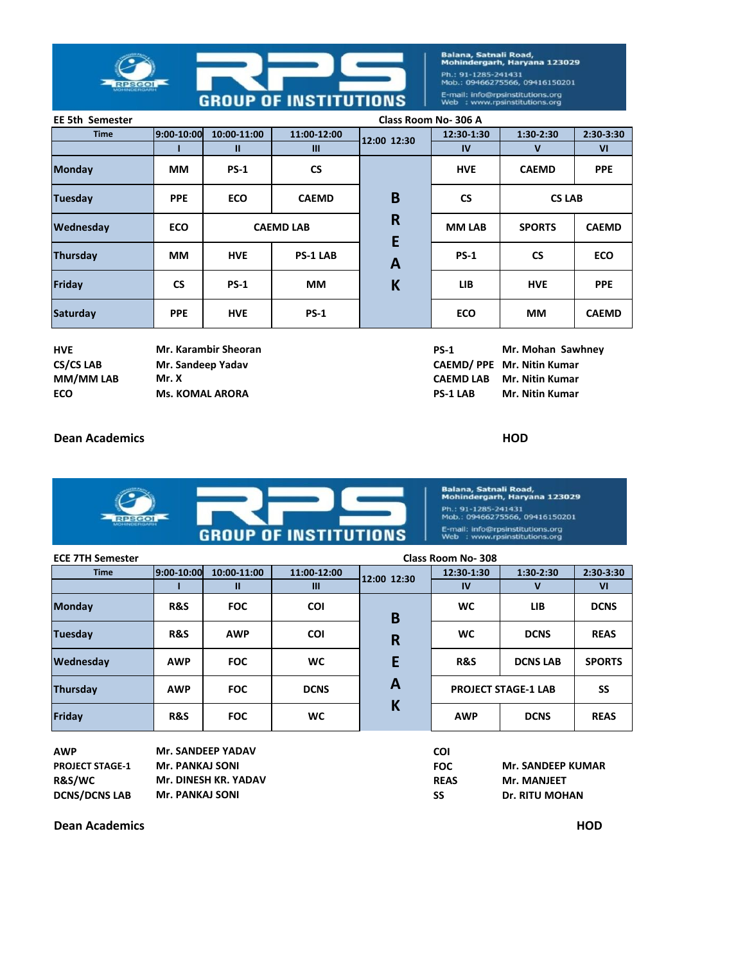

Balana, Satnali Road,<br>Mohindergarh, Haryana 123029 Ph.: 91-1285-241431<br>Mob.: 09466275566, 09416150201 E-mail: info@rpsinstitutions.org<br>Web : www.rpsinstitutions.org

| <b>EE 5th Semester</b> | Class Room No-306 A |              |                  |              |               |               |              |
|------------------------|---------------------|--------------|------------------|--------------|---------------|---------------|--------------|
| <b>Time</b>            | 9:00-10:00          | 10:00-11:00  | 11:00-12:00      | 12:00 12:30  | 12:30-1:30    | $1:30-2:30$   | 2:30-3:30    |
|                        |                     | $\mathbf{u}$ | III              |              | <b>IV</b>     | $\mathbf v$   | VI           |
| <b>Monday</b>          | <b>MM</b>           | <b>PS-1</b>  | <b>CS</b>        |              | <b>HVE</b>    | <b>CAEMD</b>  | <b>PPE</b>   |
| <b>Tuesday</b>         | <b>PPE</b>          | <b>ECO</b>   | <b>CAEMD</b>     | B            | <b>CS</b>     | <b>CS LAB</b> |              |
| Wednesday              | <b>ECO</b>          |              | <b>CAEMD LAB</b> | R<br>E       | <b>MM LAB</b> | <b>SPORTS</b> | <b>CAEMD</b> |
| Thursday               | <b>MM</b>           | <b>HVE</b>   | <b>PS-1 LAB</b>  | $\mathbf{A}$ | $PS-1$        | <b>CS</b>     | <b>ECO</b>   |
| Friday                 | <b>CS</b>           | <b>PS-1</b>  | <b>MM</b>        | K            | <b>LIB</b>    | <b>HVE</b>    | <b>PPE</b>   |
| <b>Saturday</b>        | <b>PPE</b>          | <b>HVE</b>   | $PS-1$           |              | <b>ECO</b>    | <b>MM</b>     | <b>CAEMD</b> |

| HVE              |
|------------------|
| <b>CS/CS LAB</b> |
| MM/MM LAB        |
| ECO              |

**Mr. Sandeep Yadav EXAMPLE ARORA PS-1 LAB** 

**HVE PS-1 Mr. Karambir Sheoran Mr. Mohan Sawhney MM/MM LAB CAEMD LAB Mr. X Mr. Nitin Kumar** CAEMD/ PPE Mr. Nitin Kumar

**Mr. Nitin Kumar**

## **Dean Academics HOD**



Balana, Satnali Road,<br>Mohindergarh, Haryana 123029 Ph.: 91-1285-241431<br>Mob.: 09466275566, 09416150201 E-mail: info@rpsinstitutions.org<br>Web : www.rpsinstitutions.org

| <b>ECE 7TH Semester</b> | <b>Class Room No-308</b> |              |             |             |                            |                 |                |
|-------------------------|--------------------------|--------------|-------------|-------------|----------------------------|-----------------|----------------|
| <b>Time</b>             | 9:00-10:00               | 10:00-11:00  | 11:00-12:00 | 12:00 12:30 | 12:30-1:30                 | $1:30-2:30$     | 2:30-3:30      |
|                         |                          | $\mathbf{u}$ | Ш           |             | IV                         | v               | V <sub>1</sub> |
| <b>Monday</b>           | R&S                      | <b>FOC</b>   | <b>COI</b>  | B           | <b>WC</b>                  | <b>LIB</b>      | <b>DCNS</b>    |
| <b>Tuesday</b>          | R&S                      | <b>AWP</b>   | <b>COI</b>  | R           | <b>WC</b>                  | <b>DCNS</b>     | <b>REAS</b>    |
| Wednesday               | <b>AWP</b>               | <b>FOC</b>   | <b>WC</b>   | E           | R&S                        | <b>DCNS LAB</b> | <b>SPORTS</b>  |
| <b>Thursday</b>         | <b>AWP</b>               | <b>FOC</b>   | <b>DCNS</b> | Α           | <b>PROJECT STAGE-1 LAB</b> |                 | SS             |
| Friday                  | R&S                      | <b>FOC</b>   | <b>WC</b>   | K           | <b>AWP</b>                 | <b>DCNS</b>     | <b>REAS</b>    |

| AWP                    | <b>Mr. SANDEEP YADAV</b> | COI         |                          |
|------------------------|--------------------------|-------------|--------------------------|
| <b>PROJECT STAGE-1</b> | Mr. PANKAJ SONI          | <b>FOC</b>  | <b>Mr. SANDEEP KUMAR</b> |
| R&S/WC                 | Mr. DINESH KR. YADAV     | <b>REAS</b> | <b>Mr. MANJEET</b>       |
| <b>DCNS/DCNS LAB</b>   | Mr. PANKAJ SONI          | SS          | <b>Dr. RITU MOHAN</b>    |

**Dean Academics HOD**